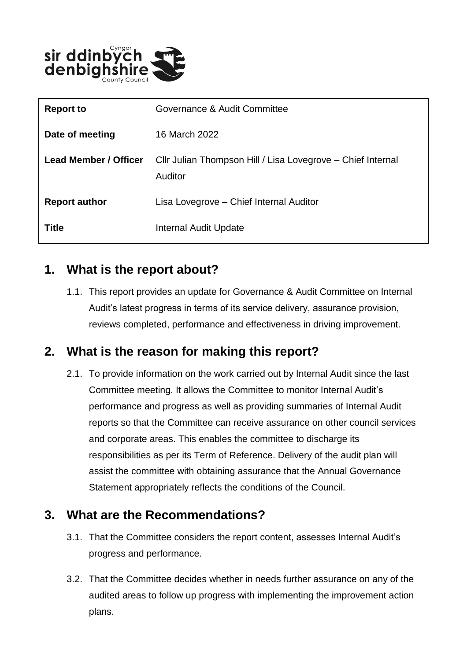

| <b>Report to</b>             | Governance & Audit Committee                                           |
|------------------------------|------------------------------------------------------------------------|
| Date of meeting              | 16 March 2022                                                          |
| <b>Lead Member / Officer</b> | Cllr Julian Thompson Hill / Lisa Lovegrove - Chief Internal<br>Auditor |
| <b>Report author</b>         | Lisa Lovegrove - Chief Internal Auditor                                |
| Title                        | Internal Audit Update                                                  |

### **1. What is the report about?**

1.1. This report provides an update for Governance & Audit Committee on Internal Audit's latest progress in terms of its service delivery, assurance provision, reviews completed, performance and effectiveness in driving improvement.

## **2. What is the reason for making this report?**

2.1. To provide information on the work carried out by Internal Audit since the last Committee meeting. It allows the Committee to monitor Internal Audit's performance and progress as well as providing summaries of Internal Audit reports so that the Committee can receive assurance on other council services and corporate areas. This enables the committee to discharge its responsibilities as per its Term of Reference. Delivery of the audit plan will assist the committee with obtaining assurance that the Annual Governance Statement appropriately reflects the conditions of the Council.

#### **3. What are the Recommendations?**

- 3.1. That the Committee considers the report content, assesses Internal Audit's progress and performance.
- 3.2. That the Committee decides whether in needs further assurance on any of the audited areas to follow up progress with implementing the improvement action plans.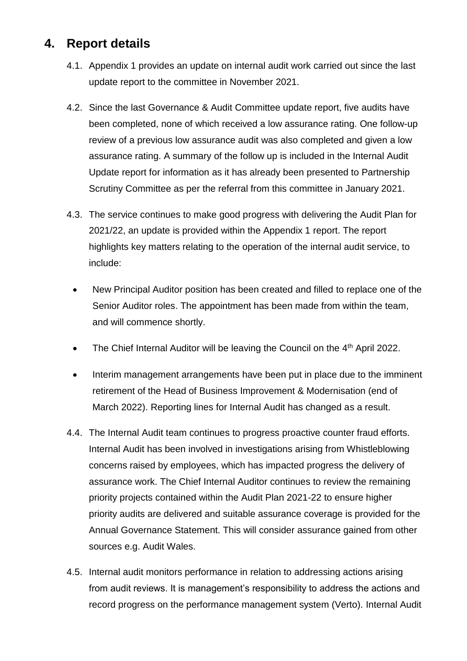## **4. Report details**

- 4.1. Appendix 1 provides an update on internal audit work carried out since the last update report to the committee in November 2021.
- 4.2. Since the last Governance & Audit Committee update report, five audits have been completed, none of which received a low assurance rating. One follow-up review of a previous low assurance audit was also completed and given a low assurance rating. A summary of the follow up is included in the Internal Audit Update report for information as it has already been presented to Partnership Scrutiny Committee as per the referral from this committee in January 2021.
- 4.3. The service continues to make good progress with delivering the Audit Plan for 2021/22, an update is provided within the Appendix 1 report. The report highlights key matters relating to the operation of the internal audit service, to include:
	- New Principal Auditor position has been created and filled to replace one of the Senior Auditor roles. The appointment has been made from within the team, and will commence shortly.
	- The Chief Internal Auditor will be leaving the Council on the  $4<sup>th</sup>$  April 2022.
	- Interim management arrangements have been put in place due to the imminent retirement of the Head of Business Improvement & Modernisation (end of March 2022). Reporting lines for Internal Audit has changed as a result.
- 4.4. The Internal Audit team continues to progress proactive counter fraud efforts. Internal Audit has been involved in investigations arising from Whistleblowing concerns raised by employees, which has impacted progress the delivery of assurance work. The Chief Internal Auditor continues to review the remaining priority projects contained within the Audit Plan 2021-22 to ensure higher priority audits are delivered and suitable assurance coverage is provided for the Annual Governance Statement. This will consider assurance gained from other sources e.g. Audit Wales.
- 4.5. Internal audit monitors performance in relation to addressing actions arising from audit reviews. It is management's responsibility to address the actions and record progress on the performance management system (Verto). Internal Audit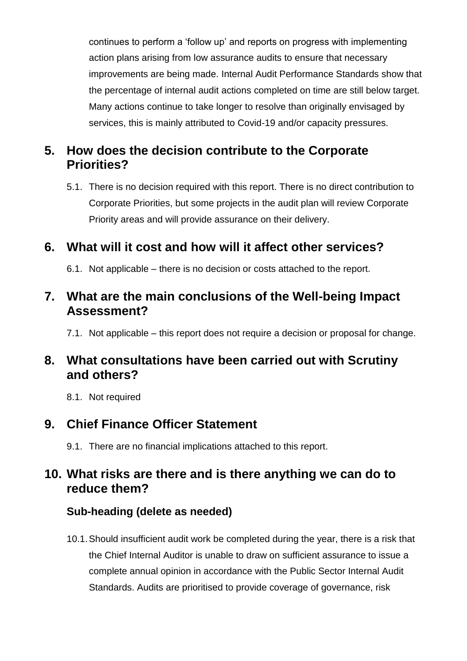continues to perform a 'follow up' and reports on progress with implementing action plans arising from low assurance audits to ensure that necessary improvements are being made. Internal Audit Performance Standards show that the percentage of internal audit actions completed on time are still below target. Many actions continue to take longer to resolve than originally envisaged by services, this is mainly attributed to Covid-19 and/or capacity pressures.

## **5. How does the decision contribute to the Corporate Priorities?**

5.1. There is no decision required with this report. There is no direct contribution to Corporate Priorities, but some projects in the audit plan will review Corporate Priority areas and will provide assurance on their delivery.

## **6. What will it cost and how will it affect other services?**

6.1. Not applicable – there is no decision or costs attached to the report.

#### **7. What are the main conclusions of the Well-being Impact Assessment?**

7.1. Not applicable – this report does not require a decision or proposal for change.

### **8. What consultations have been carried out with Scrutiny and others?**

8.1. Not required

## **9. Chief Finance Officer Statement**

9.1. There are no financial implications attached to this report.

## **10. What risks are there and is there anything we can do to reduce them?**

#### **Sub-heading (delete as needed)**

10.1.Should insufficient audit work be completed during the year, there is a risk that the Chief Internal Auditor is unable to draw on sufficient assurance to issue a complete annual opinion in accordance with the Public Sector Internal Audit Standards. Audits are prioritised to provide coverage of governance, risk